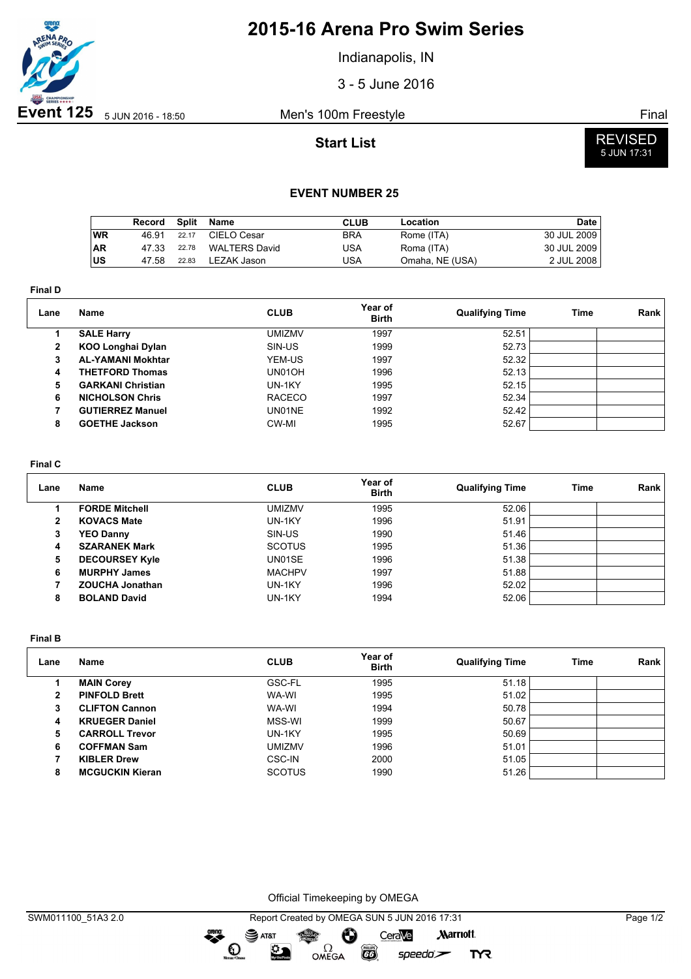

## **2015-16 Arena Pro Swim Series**

Indianapolis, IN

3 - 5 June 2016

**Start List**



### **EVENT NUMBER 25**

|     | Record | Split | Name                 | CLUB       | Location        | Date        |
|-----|--------|-------|----------------------|------------|-----------------|-------------|
| WR  | 46.91  | 22.17 | CIELO Cesar          | <b>BRA</b> | Rome (ITA)      | 30 JUL 2009 |
| ∣AR | 47.33  | 22.78 | <b>WALTERS David</b> | USA        | Roma (ITA)      | 30 JUL 2009 |
| ∣us | 47.58  | 22.83 | LEZAK Jason          | USA        | Omaha, NE (USA) | 2 JUL 2008  |

**Final D**

| Lane           | Name                     | <b>CLUB</b>   | Year of<br><b>Birth</b> | <b>Qualifying Time</b> | Time | Rank |
|----------------|--------------------------|---------------|-------------------------|------------------------|------|------|
|                | <b>SALE Harry</b>        | <b>UMIZMV</b> | 1997                    | 52.51                  |      |      |
| $\overline{2}$ | <b>KOO Longhai Dylan</b> | SIN-US        | 1999                    | 52.73                  |      |      |
| 3              | <b>AL-YAMANI Mokhtar</b> | YEM-US        | 1997                    | 52.32                  |      |      |
| 4              | <b>THETFORD Thomas</b>   | UN01OH        | 1996                    | 52.13                  |      |      |
| 5              | <b>GARKANI Christian</b> | UN-1KY        | 1995                    | 52.15                  |      |      |
| 6              | <b>NICHOLSON Chris</b>   | <b>RACECO</b> | 1997                    | 52.34                  |      |      |
|                | <b>GUTIERREZ Manuel</b>  | UN01NE        | 1992                    | 52.42                  |      |      |
| 8              | <b>GOETHE Jackson</b>    | CW-MI         | 1995                    | 52.67                  |      |      |

### **Final C**

| Lane | Name                   | <b>CLUB</b>   | Year of<br><b>Birth</b> | <b>Qualifying Time</b> | Time | Rank |
|------|------------------------|---------------|-------------------------|------------------------|------|------|
|      | <b>FORDE Mitchell</b>  | <b>UMIZMV</b> | 1995                    | 52.06                  |      |      |
| 2    | <b>KOVACS Mate</b>     | UN-1KY        | 1996                    | 51.91                  |      |      |
| 3    | <b>YEO Danny</b>       | SIN-US        | 1990                    | 51.46                  |      |      |
| 4    | <b>SZARANEK Mark</b>   | <b>SCOTUS</b> | 1995                    | 51.36                  |      |      |
| 5    | <b>DECOURSEY Kyle</b>  | UN01SE        | 1996                    | 51.38                  |      |      |
| 6    | <b>MURPHY James</b>    | <b>MACHPV</b> | 1997                    | 51.88                  |      |      |
|      | <b>ZOUCHA Jonathan</b> | UN-1KY        | 1996                    | 52.02                  |      |      |
| 8    | <b>BOLAND David</b>    | UN-1KY        | 1994                    | 52.06                  |      |      |

**Final B**

| Lane | Name                   | <b>CLUB</b>   | Year of<br><b>Birth</b> | <b>Qualifying Time</b> | Time | Rank |
|------|------------------------|---------------|-------------------------|------------------------|------|------|
|      | <b>MAIN Corey</b>      | GSC-FL        | 1995                    | 51.18                  |      |      |
| 2    | <b>PINFOLD Brett</b>   | WA-WI         | 1995                    | 51.02                  |      |      |
| 3    | <b>CLIFTON Cannon</b>  | WA-WI         | 1994                    | 50.78                  |      |      |
| 4    | <b>KRUEGER Daniel</b>  | MSS-WI        | 1999                    | 50.67                  |      |      |
| 5    | <b>CARROLL Trevor</b>  | UN-1KY        | 1995                    | 50.69                  |      |      |
| 6    | <b>COFFMAN Sam</b>     | <b>UMIZMV</b> | 1996                    | 51.01                  |      |      |
|      | <b>KIBLER Drew</b>     | CSC-IN        | 2000                    | 51.05                  |      |      |
| 8    | <b>MCGUCKIN Kieran</b> | <b>SCOTUS</b> | 1990                    | 51.26                  |      |      |

Official Timekeeping by OMEGA

 $\overline{G}$ 

 $speedo$ 

**TYR** 

OMEGA

greng:

 $\mathbf{O}$ 

 $\mathfrak{D}$